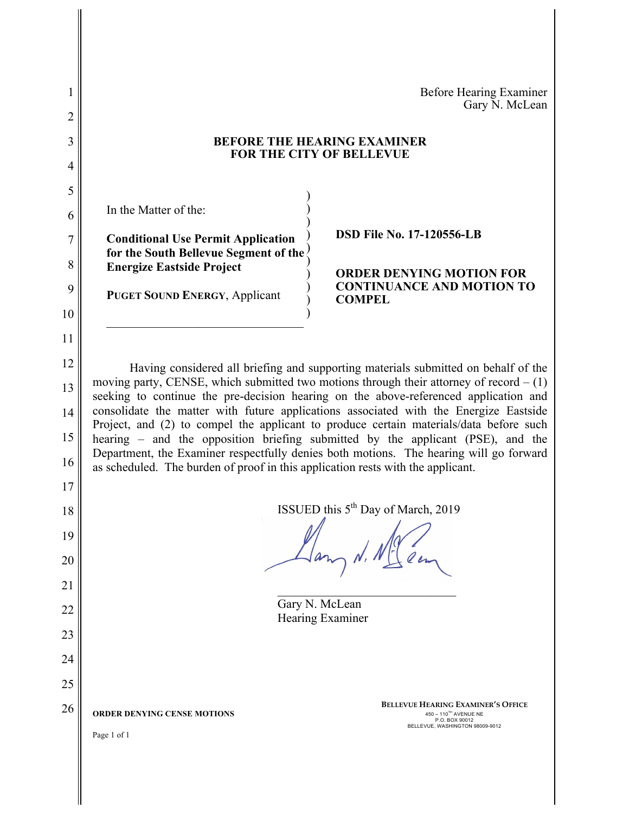|                                                                                                                                                                                                                                                                                                                                                                                                                                                                                                                                                                                                                                                                 | <b>Before Hearing Examiner</b>                                                                                          |                                                                                 |  |
|-----------------------------------------------------------------------------------------------------------------------------------------------------------------------------------------------------------------------------------------------------------------------------------------------------------------------------------------------------------------------------------------------------------------------------------------------------------------------------------------------------------------------------------------------------------------------------------------------------------------------------------------------------------------|-------------------------------------------------------------------------------------------------------------------------|---------------------------------------------------------------------------------|--|
|                                                                                                                                                                                                                                                                                                                                                                                                                                                                                                                                                                                                                                                                 | Gary N. McLean                                                                                                          |                                                                                 |  |
|                                                                                                                                                                                                                                                                                                                                                                                                                                                                                                                                                                                                                                                                 | <b>BEFORE THE HEARING EXAMINER</b>                                                                                      |                                                                                 |  |
|                                                                                                                                                                                                                                                                                                                                                                                                                                                                                                                                                                                                                                                                 |                                                                                                                         |                                                                                 |  |
|                                                                                                                                                                                                                                                                                                                                                                                                                                                                                                                                                                                                                                                                 |                                                                                                                         |                                                                                 |  |
| In the Matter of the:                                                                                                                                                                                                                                                                                                                                                                                                                                                                                                                                                                                                                                           |                                                                                                                         |                                                                                 |  |
| <b>Conditional Use Permit Application</b>                                                                                                                                                                                                                                                                                                                                                                                                                                                                                                                                                                                                                       | <b>DSD File No. 17-120556-LB</b>                                                                                        |                                                                                 |  |
| 8<br><b>Energize Eastside Project</b>                                                                                                                                                                                                                                                                                                                                                                                                                                                                                                                                                                                                                           | <b>ORDER DENYING MOTION FOR</b>                                                                                         |                                                                                 |  |
| <b>PUGET SOUND ENERGY, Applicant</b>                                                                                                                                                                                                                                                                                                                                                                                                                                                                                                                                                                                                                            | <b>CONTINUANCE AND MOTION TO</b><br><b>COMPEL</b>                                                                       |                                                                                 |  |
|                                                                                                                                                                                                                                                                                                                                                                                                                                                                                                                                                                                                                                                                 |                                                                                                                         |                                                                                 |  |
|                                                                                                                                                                                                                                                                                                                                                                                                                                                                                                                                                                                                                                                                 |                                                                                                                         |                                                                                 |  |
| 12<br>Having considered all briefing and supporting materials submitted on behalf of the<br>moving party, CENSE, which submitted two motions through their attorney of record $- (1)$<br>13<br>seeking to continue the pre-decision hearing on the above-referenced application and<br>consolidate the matter with future applications associated with the Energize Eastside<br>14<br>Project, and (2) to compel the applicant to produce certain materials/data before such<br>15<br>hearing – and the opposition briefing submitted by the applicant (PSE), and the<br>Department, the Examiner respectfully denies both motions. The hearing will go forward |                                                                                                                         |                                                                                 |  |
|                                                                                                                                                                                                                                                                                                                                                                                                                                                                                                                                                                                                                                                                 |                                                                                                                         | as scheduled. The burden of proof in this application rests with the applicant. |  |
|                                                                                                                                                                                                                                                                                                                                                                                                                                                                                                                                                                                                                                                                 |                                                                                                                         |                                                                                 |  |
|                                                                                                                                                                                                                                                                                                                                                                                                                                                                                                                                                                                                                                                                 |                                                                                                                         | ISSUED this 5 <sup>th</sup> Day of March, 2019<br>18<br>19<br>20                |  |
|                                                                                                                                                                                                                                                                                                                                                                                                                                                                                                                                                                                                                                                                 |                                                                                                                         |                                                                                 |  |
| Gary N. McLean<br>22<br>Hearing Examiner                                                                                                                                                                                                                                                                                                                                                                                                                                                                                                                                                                                                                        |                                                                                                                         |                                                                                 |  |
|                                                                                                                                                                                                                                                                                                                                                                                                                                                                                                                                                                                                                                                                 |                                                                                                                         |                                                                                 |  |
|                                                                                                                                                                                                                                                                                                                                                                                                                                                                                                                                                                                                                                                                 |                                                                                                                         |                                                                                 |  |
|                                                                                                                                                                                                                                                                                                                                                                                                                                                                                                                                                                                                                                                                 |                                                                                                                         |                                                                                 |  |
| ORDER DENYING CENSE MOTIONS                                                                                                                                                                                                                                                                                                                                                                                                                                                                                                                                                                                                                                     | <b>BELLEVUE HEARING EXAMINER'S OFFICE</b><br>450 - 110TH AVENUE NE<br>P.O. BOX 90012<br>BELLEVUE, WASHINGTON 98009-9012 |                                                                                 |  |
| Page 1 of 1                                                                                                                                                                                                                                                                                                                                                                                                                                                                                                                                                                                                                                                     |                                                                                                                         |                                                                                 |  |
|                                                                                                                                                                                                                                                                                                                                                                                                                                                                                                                                                                                                                                                                 |                                                                                                                         |                                                                                 |  |
|                                                                                                                                                                                                                                                                                                                                                                                                                                                                                                                                                                                                                                                                 |                                                                                                                         |                                                                                 |  |
|                                                                                                                                                                                                                                                                                                                                                                                                                                                                                                                                                                                                                                                                 | FOR THE CITY OF BELLEVUE<br>for the South Bellevue Segment of the                                                       |                                                                                 |  |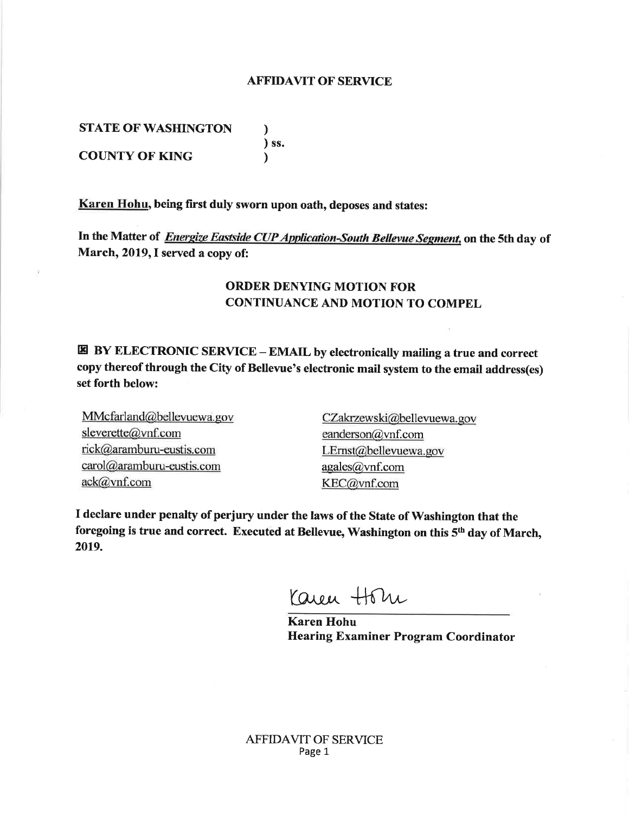## **AFFIDAVIT OF SERVICE**

**STATE OF WASHINGTON** 

) ss. **COUNTY OF KING**  $\lambda$ 

Karen Hohu, being first duly sworn upon oath, deposes and states:

 $\lambda$ 

In the Matter of *Energize Eastside CUP Application-South Bellevue Segment*, on the 5th day of March, 2019, I served a copy of:

## **ORDER DENYING MOTION FOR CONTINUANCE AND MOTION TO COMPEL**

**E BY ELECTRONIC SERVICE – EMAIL by electronically mailing a true and correct** copy thereof through the City of Bellevue's electronic mail system to the email address(es) set forth below:

MMcfarland@bellevuewa.gov sleverette@vnf.com rick@aramburu-eustis.com carol@aramburu-eustis.com  $ack@vnf.com$ 

CZakrzewski@bellevuewa.gov eanderson $@$ vnf.com LErnst@bellevuewa.gov agales@vnf.com KEC@vnf.com

I declare under penalty of perjury under the laws of the State of Washington that the foregoing is true and correct. Executed at Bellevue, Washington on this 5<sup>th</sup> day of March, 2019.

Yaren Horn

**Karen Hohu Hearing Examiner Program Coordinator**